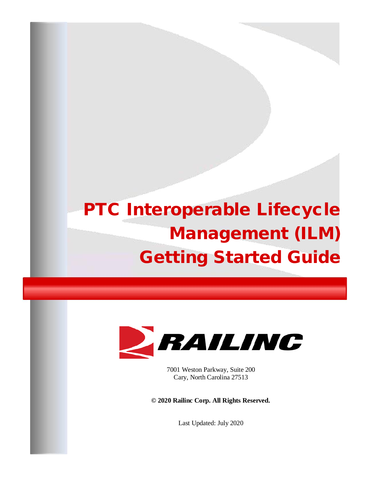# PTC Interoperable Lifecycle Management (ILM) Getting Started Guide



7001 Weston Parkway, Suite 200 Cary, North Carolina 27513

**© 2020 Railinc Corp. All Rights Reserved.**

Last Updated: July 2020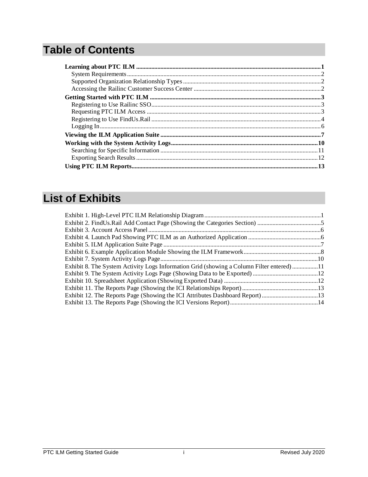# **Table of Contents**

## **List of Exhibits**

| Exhibit 8. The System Activity Logs Information Grid (showing a Column Filter entered) 11 |  |
|-------------------------------------------------------------------------------------------|--|
|                                                                                           |  |
|                                                                                           |  |
|                                                                                           |  |
| Exhibit 12. The Reports Page (Showing the ICI Attributes Dashboard Report) 13             |  |
|                                                                                           |  |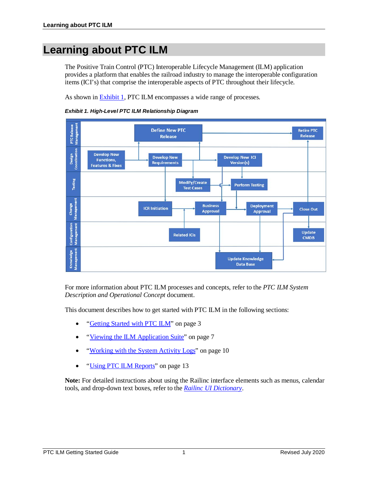### <span id="page-3-0"></span>**Learning about PTC ILM**

The Positive Train Control (PTC) Interoperable Lifecycle Management (ILM) application provides a platform that enables the railroad industry to manage the interoperable configuration items (ICI's) that comprise the interoperable aspects of PTC throughout their lifecycle.

As shown in [Exhibit 1,](#page-3-1) PTC ILM encompasses a wide range of processes.

<span id="page-3-1"></span>



For more information about PTC ILM processes and concepts, refer to the *PTC ILM System Description and Operational Concept* document.

This document describes how to get started with PTC ILM in the following sections:

- ["Getting Started with PTC ILM"](#page-5-0) on page [3](#page-5-0)
- ["Viewing the ILM Application Suite"](#page-9-0) on page [7](#page-9-0)
- ["Working with the System Activity Logs"](#page-12-0) on page [10](#page-12-0)
- ["Using PTC ILM Reports"](#page-15-0) on page [13](#page-15-0)

**Note:** For detailed instructions about using the Railinc interface elements such as menus, calendar tools, and drop-down text boxes, refer to the *[Railinc UI Dictionary](http://public.railinc.com/sites/default/files/documents/Railinc_UI_Dictionary.pdf)*.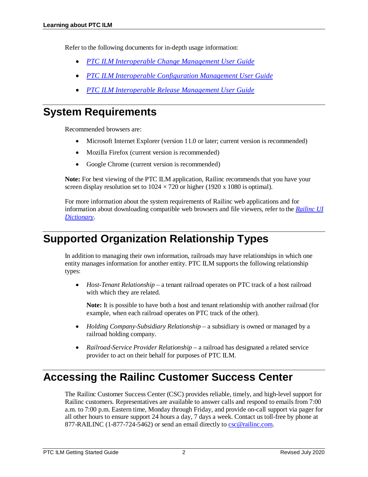Refer to the following documents for in-depth usage information:

- *PTC ILM Interoperable [Change Management User Guide](https://public.railinc.com/sites/default/files/documents/PTC_ILM_ChgMgmt_UG.pdf)*
- *[PTC ILM Interoperable Configuration Management User Guide](https://public.railinc.com/sites/default/files/documents/PTC_ILM_CfgMgmt_UG.pdf)*
- *[PTC ILM Interoperable Release Management User Guide](https://public.railinc.com/sites/default/files/documents/PTC_ILM_RelMgmt_UG.pdf)*

### <span id="page-4-0"></span>**System Requirements**

Recommended browsers are:

- Microsoft Internet Explorer (version 11.0 or later; current version is recommended)
- Mozilla Firefox (current version is recommended)
- Google Chrome (current version is recommended)

**Note:** For best viewing of the PTC ILM application, Railinc recommends that you have your screen display resolution set to  $1024 \times 720$  or higher (1920 x 1080 is optimal).

For more information about the system requirements of Railinc web applications and for information about downloading compatible web browsers and file viewers, refer to the *[Railinc UI](https://public.railinc.com/sites/default/files/documents/Railinc_UI_Dictionary.pdf)  [Dictionary](https://public.railinc.com/sites/default/files/documents/Railinc_UI_Dictionary.pdf)*.

### <span id="page-4-1"></span>**Supported Organization Relationship Types**

In addition to managing their own information, railroads may have relationships in which one entity manages information for another entity. PTC ILM supports the following relationship types:

• *Host-Tenant Relationship* – a tenant railroad operates on PTC track of a host railroad with which they are related.

**Note:** It is possible to have both a host and tenant relationship with another railroad (for example, when each railroad operates on PTC track of the other).

- *Holding Company-Subsidiary Relationship* a subsidiary is owned or managed by a railroad holding company.
- *Railroad-Service Provider Relationship* a railroad has designated a related service provider to act on their behalf for purposes of PTC ILM.

### <span id="page-4-2"></span>**Accessing the Railinc Customer Success Center**

The Railinc Customer Success Center (CSC) provides reliable, timely, and high-level support for Railinc customers. Representatives are available to answer calls and respond to emails from 7:00 a.m. to 7:00 p.m. Eastern time, Monday through Friday, and provide on-call support via pager for all other hours to ensure support 24 hours a day, 7 days a week. Contact us toll-free by phone at 877-RAILINC (1-877-724-5462) or send an email directly to [csc@railinc.com.](mailto:csc@railinc.com)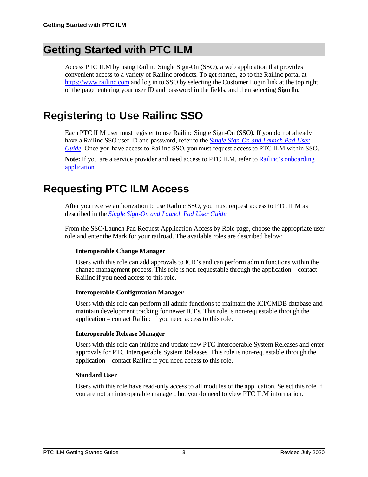### <span id="page-5-0"></span>**Getting Started with PTC ILM**

Access PTC ILM by using Railinc Single Sign-On (SSO), a web application that provides convenient access to a variety of Railinc products. To get started, go to the Railinc portal at [https://www.railinc.com](https://www.railinc.com/) and log in to SSO by selecting the Customer Login link at the top right of the page, entering your user ID and password in the fields, and then selecting **Sign In**.

### <span id="page-5-1"></span>**Registering to Use Railinc SSO**

Each PTC ILM user must register to use Railinc Single Sign-On (SSO). If you do not already have a Railinc SSO user ID and password, refer to the *[Single Sign-On and Launch Pad User](https://public.railinc.com/sites/default/files/documents/SSOUserGuide.pdf)  [Guide](https://public.railinc.com/sites/default/files/documents/SSOUserGuide.pdf)*. Once you have access to Railinc SSO, you must request access to PTC ILM within SSO.

Note: If you are a service provider and need access to PTC ILM, refer to Railinc's onboarding [application.](https://www.railinc.com/onboard/#/)

### <span id="page-5-2"></span>**Requesting PTC ILM Access**

After you receive authorization to use Railinc SSO, you must request access to PTC ILM as described in the *[Single Sign-On and Launch Pad User Guide](https://public.railinc.com/sites/default/files/documents/SSOUserGuide.pdf)*.

From the SSO/Launch Pad Request Application Access by Role page, choose the appropriate user role and enter the Mark for your railroad. The available roles are described below:

#### **Interoperable Change Manager**

Users with this role can add approvals to ICR's and can perform admin functions within the change management process. This role is non-requestable through the application – contact Railinc if you need access to this role.

#### **Interoperable Configuration Manager**

Users with this role can perform all admin functions to maintain the ICI/CMDB database and maintain development tracking for newer ICI's. This role is non-requestable through the application – contact Railinc if you need access to this role.

#### **Interoperable Release Manager**

Users with this role can initiate and update new PTC Interoperable System Releases and enter approvals for PTC Interoperable System Releases. This role is non-requestable through the application – contact Railinc if you need access to this role.

#### **Standard User**

Users with this role have read-only access to all modules of the application. Select this role if you are not an interoperable manager, but you do need to view PTC ILM information.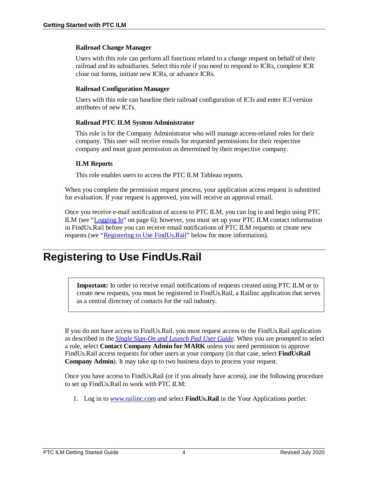#### **Railroad Change Manager**

Users with this role can perform all functions related to a change request on behalf of their railroad and its subsidiaries. Select this role if you need to respond to ICRs, complete ICR close out forms, initiate new ICRs, or advance ICRs.

#### **Railroad Configuration Manager**

Users with this role can baseline their railroad configuration of ICIs and enter ICI version attributes of new ICI's.

#### **Railroad PTC ILM System Administrator**

This role is for the Company Administrator who will manage access-related roles for their company. This user will receive emails for requested permissions for their respective company and must grant permission as determined by their respective company.

#### **ILM Reports**

This role enables users to access the PTC ILM Tableau reports.

When you complete the permission request process, your application access request is submitted for evaluation. If your request is approved, you will receive an approval email.

Once you receive e-mail notification of access to PTC ILM, you can log in and begin using PTC ILM (see ["Logging In"](#page-8-0) on page [6\)](#page-8-0); however, you must set up your PTC ILM contact information in FindUs.Rail before you can receive email notifications of PTC ILM requests or create new requests (see ["Registering to Use FindUs.Rail" below](#page-6-0) for more information).

### <span id="page-6-0"></span>**Registering to Use FindUs.Rail**

**Important:** In order to receive email notifications of requests created using PTC ILM or to create new requests, you must be registered in FindUs.Rail, a Railinc application that serves as a central directory of contacts for the rail industry.

If you do not have access to FindUs.Rail, you must request access to the FindUs.Rail application as described in the *[Single Sign-On and Launch Pad User Guide](https://public.railinc.com/sites/default/files/documents/SSOUserGuide.pdf)*. When you are prompted to select a role, select **Contact Company Admin for MARK** unless you need permission to approve FindUs.Rail access requests for other users at your company (in that case, select **FindUsRail Company Admin**). It may take up to two business days to process your request.

Once you have access to FindUs.Rail (or if you already have access), use the following procedure to set up FindUs.Rail to work with PTC ILM:

1. Log in t[o www.railinc.com](https://www.railinc.com/) and select **FindUs.Rail** in the Your Applications portlet.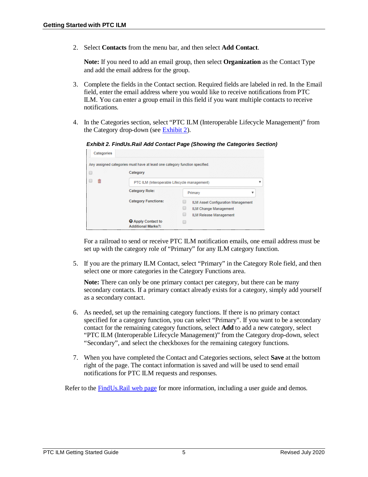2. Select **Contacts** from the menu bar, and then select **Add Contact**.

**Note:** If you need to add an email group, then select **Organization** as the Contact Type and add the email address for the group.

- 3. Complete the fields in the Contact section. Required fields are labeled in red. In the Email field, enter the email address where you would like to receive notifications from PTC ILM. You can enter a group email in this field if you want multiple contacts to receive notifications.
- <span id="page-7-0"></span>4. In the Categories section, select "PTC ILM (Interoperable Lifecycle Management)" from the Category drop-down (see [Exhibit 2\)](#page-7-0).

*Exhibit 2. FindUs.Rail Add Contact Page (Showing the Categories Section)*

| Categories |                                                                             |                                           |   |  |  |  |  |  |
|------------|-----------------------------------------------------------------------------|-------------------------------------------|---|--|--|--|--|--|
|            | Any assigned categories must have at least one category function specified. |                                           |   |  |  |  |  |  |
|            | Category                                                                    |                                           |   |  |  |  |  |  |
| 侖          | PTC ILM (Interoperable Lifecycle management)                                |                                           |   |  |  |  |  |  |
|            | <b>Category Role:</b>                                                       | Primary                                   | v |  |  |  |  |  |
|            | <b>Category Functions:</b>                                                  | <b>ILM Asset Configuration Management</b> |   |  |  |  |  |  |
|            |                                                                             | <b>ILM Change Management</b>              |   |  |  |  |  |  |
|            |                                                                             | <b>ILM Release Management</b>             |   |  |  |  |  |  |
|            | <b>Q</b> Apply Contact to<br><b>Additional Marks?:</b>                      |                                           |   |  |  |  |  |  |

For a railroad to send or receive PTC ILM notification emails, one email address must be set up with the category role of "Primary" for any ILM category function.

5. If you are the primary ILM Contact, select "Primary" in the Category Role field, and then select one or more categories in the Category Functions area.

**Note:** There can only be one primary contact per category, but there can be many secondary contacts. If a primary contact already exists for a category, simply add yourself as a secondary contact.

- 6. As needed, set up the remaining category functions. If there is no primary contact specified for a category function, you can select "Primary". If you want to be a secondary contact for the remaining category functions, select **Add** to add a new category, select "PTC ILM (Interoperable Lifecycle Management)" from the Category drop-down, select "Secondary", and select the checkboxes for the remaining category functions.
- 7. When you have completed the Contact and Categories sections, select **Save** at the bottom right of the page. The contact information is saved and will be used to send email notifications for PTC ILM requests and responses.

Refer to th[e FindUs.Rail web page](https://public.railinc.com/resources/findusrail) for more information, including a user guide and demos.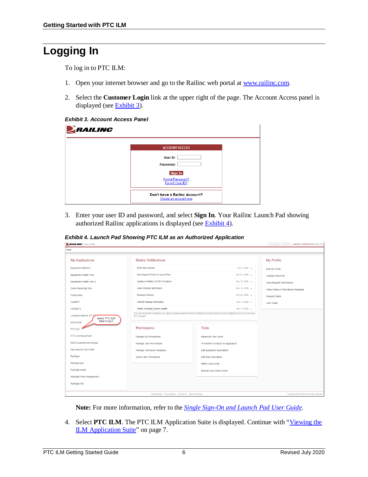### <span id="page-8-0"></span>**Logging In**

To log in to PTC ILM:

- 1. Open your internet browser and go to the Railinc web portal at [www.railinc.com.](https://www.railinc.com/)
- 2. Select the **Customer Login** link at the upper right of the page. The Account Access panel is displayed (see **Exhibit 3**).

<span id="page-8-1"></span>*Exhibit 3. Account Access Panel*

| ERAILING |                                                        |  |
|----------|--------------------------------------------------------|--|
|          | <b>ACCOUNT ACCESS</b>                                  |  |
|          | User ID:<br>Password:                                  |  |
|          | Sign In                                                |  |
|          | Forgot Password?<br>Forgot User ID?                    |  |
|          | Don't have a Railinc Account?<br>Create an account now |  |

3. Enter your user ID and password, and select **Sign In**. Your Railinc Launch Pad showing authorized Railinc applications is displayed (see [Exhibit 4\)](#page-8-2).

<span id="page-8-2"></span>*Exhibit 4. Launch Pad Showing PTC ILM as an Authorized Application*

| <b>RAILING</b> Launch Pad                                                                     |                                                          |                                                                                                                                                            | <b>RAILINC CORPORATION Sign Out</b>          |
|-----------------------------------------------------------------------------------------------|----------------------------------------------------------|------------------------------------------------------------------------------------------------------------------------------------------------------------|----------------------------------------------|
| Home                                                                                          |                                                          |                                                                                                                                                            |                                              |
| <b>My Applications</b>                                                                        | <b>Railinc Notifications</b>                             |                                                                                                                                                            | My Profile                                   |
| <b>Equipment Advisory</b>                                                                     | RCH Web Release                                          | Apr 9, 2020 v                                                                                                                                              | Edit My Profile                              |
| Equipment Health View                                                                         | New Support Portal on Launch Pad                         | Mar 24, 2020 v                                                                                                                                             | Change Password                              |
| Equipment Health View 2                                                                       | Update on Railinc COVID-19 Actions                       | Mar 18, 2020 v                                                                                                                                             | <b>View/Request Permissions</b>              |
| <b>Event Reporting Tool</b>                                                                   | <b>Umler Release Notification</b>                        | Mar 18, 2020 v                                                                                                                                             | Check Status of Permission Requests          |
| FindUs.Rail                                                                                   | Embargo Release                                          | Feb 25, 2020 v                                                                                                                                             | <b>Support Cases</b>                         |
| <b>HAZMAT</b>                                                                                 | <b>Umler® Release Notification</b>                       | Feb 11, 2020 v                                                                                                                                             | <b>User Guide</b>                            |
| HAZMAT2                                                                                       | Railinc Ticketing System Update                          | Jan 17, 2020 $\sqrt{ }$                                                                                                                                    |                                              |
| Loading Authority (OT-5)<br>Select "PTC ILM"<br>here to log in.<br><b>MAIN CDX</b><br>PTC ILM | 877-724-5462.<br>Permissions                             | If you do not see the notification you require, please contact the Railinc Customer Success Center by email csc@railinc.com or by phone at<br><b>Tools</b> |                                              |
| <b>PTC-ILM SharePoint</b>                                                                     | <b>Manage My Permissions</b>                             | <b>Advanced User Query</b>                                                                                                                                 |                                              |
| Rail Document Interchange                                                                     | Manage User Permissions                                  | Find Admin Contacts for Application                                                                                                                        |                                              |
| Rail Industry GIS Portal                                                                      | <b>Manage Permission Requests</b>                        | <b>Edit Application Description</b>                                                                                                                        |                                              |
| RailSight                                                                                     | <b>Clone User Permissions</b>                            | <b>Edit Role Description</b>                                                                                                                               |                                              |
| RailSight AM                                                                                  |                                                          | Admin User Guide                                                                                                                                           |                                              |
| RailSight Alerts                                                                              |                                                          | Internal User Admin Guide                                                                                                                                  |                                              |
| RailSight Fleet Management                                                                    |                                                          |                                                                                                                                                            |                                              |
| RailSight NG                                                                                  |                                                          |                                                                                                                                                            |                                              |
|                                                                                               | Legal Notices Privacy Rights Contact Us Terms of Service |                                                                                                                                                            | Copyright 2020 Railinc® All rights reserved. |

**Note:** For more information, refer to the *[Single Sign-On and Launch Pad User Guide](https://public.railinc.com/sites/default/files/documents/SSOUserGuide.pdf)*.

4. Select **PTC ILM**. The PTC ILM Application Suite is displayed. Continue with ["Viewing the](#page-9-0)  [ILM Application Suite"](#page-9-0) on page [7.](#page-9-0)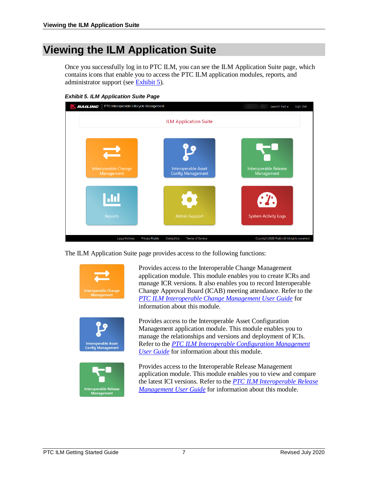### <span id="page-9-0"></span>**Viewing the ILM Application Suite**

Once you successfully log in to PTC ILM, you can see the ILM Application Suite page, which contains icons that enable you to access the PTC ILM application modules, reports, and administrator support (see [Exhibit 5\)](#page-9-1).

<span id="page-9-1"></span>

The ILM Application Suite page provides access to the following functions:





**Interoperable Asset**<br>Config Management

Provides access to the Interoperable Change Management application module. This module enables you to create ICRs and manage ICR versions. It also enables you to record Interoperable Change Approval Board (ICAB) meeting attendance. Refer to the *[PTC ILM Interoperable Change Management User Guide](https://public.railinc.com/sites/default/files/documents/PTC_ILM_ChgMgmt_UG.pdf)* for information about this module.

Provides access to the Interoperable Asset Configuration Management application module. This module enables you to manage the relationships and versions and deployment of ICIs. Refer to the *[PTC ILM Interoperable Configuration Management](https://public.railinc.com/sites/default/files/documents/PTC_ILM_CfgMgmt_UG.pdf)  [User Guide](https://public.railinc.com/sites/default/files/documents/PTC_ILM_CfgMgmt_UG.pdf)* for information about this module.

Provides access to the Interoperable Release Management application module. This module enables you to view and compare the latest ICI versions. Refer to the *[PTC ILM Interoperable Release](https://public.railinc.com/sites/default/files/documents/PTC_ILM_RelMgmt_UG.pdf)  [Management User Guide](https://public.railinc.com/sites/default/files/documents/PTC_ILM_RelMgmt_UG.pdf)* for information about this module.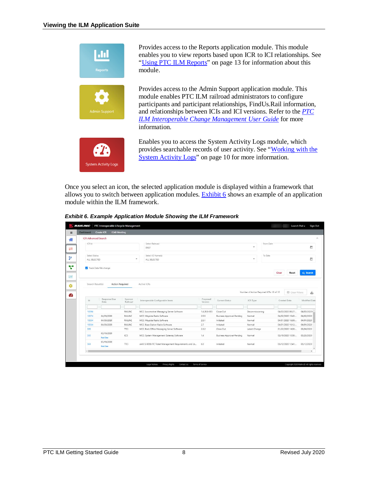

Provides access to the Reports application module. This module enables you to view reports based upon ICR to ICI relationships. See ["Using PTC ILM Reports"](#page-15-0) on page [13](#page-15-0) for information about this module.

Provides access to the Admin Support application module. This module enables PTC ILM railroad administrators to configure participants and participant relationships, FindUs.Rail information, and relationships between ICIs and ICI versions. Refer to the *[PTC](https://public.railinc.com/sites/default/files/documents/PTC_ILM_ChgMgmt_UG.pdf)  [ILM Interoperable Change Management User Guide](https://public.railinc.com/sites/default/files/documents/PTC_ILM_ChgMgmt_UG.pdf)* for more information.



Enables you to access the System Activity Logs module, which provides searchable records of user activity. See ["Working with the](#page-12-0)  [System Activity Logs"](#page-12-0) on page [10](#page-12-0) for more information.

Once you select an icon, the selected application module is displayed within a framework that allows you to switch between application modules. [Exhibit 6](#page-10-0) shows an example of an application module within the ILM framework.

<span id="page-10-0"></span>

|  | <b>Exhibit 6. Example Application Module Showing the ILM Framework</b> |  |  |  |
|--|------------------------------------------------------------------------|--|--|--|
|  |                                                                        |  |  |  |

|        | <b>ICR Advanced Search</b>    |                                        |                        |                                                                                |              |                                  |                         |                                          |                                        |                         |                          |
|--------|-------------------------------|----------------------------------------|------------------------|--------------------------------------------------------------------------------|--------------|----------------------------------|-------------------------|------------------------------------------|----------------------------------------|-------------------------|--------------------------|
| ICR Id |                               |                                        |                        | Select Railroad<br>BNSF                                                        |              |                                  | ٠                       | From Date                                |                                        |                         | 茴                        |
|        | Select Status<br>ALL SELECTED |                                        | $\;$                   | Select ICI Name(s)<br>ALL SELECTED                                             |              |                                  | $\rightarrow$           | To Date                                  |                                        |                         | ö                        |
|        | Track Data File change        |                                        |                        |                                                                                |              |                                  |                         |                                          | Clear                                  | Reset                   | Q Search                 |
|        | Search Result(s)              | <b>Action Required</b><br>Response Due | Sponsor                | Active ICRs                                                                    | Proposed     |                                  |                         | Number of Action Required ICRs: 18 of 18 |                                        | <b>EJ</b> Clear Filters | $+1$                     |
| 1d     |                               | Date                                   | Railroad               | Interoperable Configurable Items                                               | Version      | Current Status                   | ICR Type                |                                          | Created Date                           |                         | Modified Date            |
|        |                               |                                        | RAILINC                | MCC: Locomotive Messaging Server Software                                      | 1.4.20.8-905 |                                  |                         |                                          | 04/03/2020 08:27:                      |                         |                          |
|        |                               |                                        |                        |                                                                                |              |                                  |                         |                                          |                                        |                         | 04/03/2020 \             |
| 10394  |                               |                                        |                        |                                                                                |              | Close Out                        | Decommissioning         |                                          |                                        |                         |                          |
| 10374  |                               | 04/09/2020                             | RAILINC                | MCC: Wayside Radio Software                                                    | 2.5.5        | <b>Business Approval-Pending</b> | Normal                  |                                          | 04/02/2020 15:43:                      |                         | 04/02/2020               |
| 10354  |                               | 04/08/2020                             | RAILINC                | MCC: Wayside Radio Software                                                    | 2.5.1        | Initiated                        | Normal                  |                                          | 04/01/2020 16:58:                      |                         | 04/01/2020               |
| 305    | 10334                         | 04/08/2020                             | RAILINC<br><b>TTCI</b> | MCC: Base Station Radio Software<br>MCC: Back Office Messaging Server Software | 2.7<br>2.3.2 | Initiated<br>Close Out           | Normal<br>Latent Change |                                          | 04/01/2020 16:12:<br>01/22/2020 14:30: |                         | 04/01/2020<br>03/04/2020 |
| 335    |                               | 02/19/2020<br><b>Past Due</b>          | <b>KCS</b>             | MCC: System Management Gateway Software                                        | 1.4.         | <b>Business Approval-Pending</b> | Normal                  |                                          | 02/19/2020 10:58:                      |                         | 03/26/2020               |
| 361    |                               | 03/19/2020<br><b>Past Due</b>          | TTCI                   | AAR: S-9058 ITC Ticket Management Requirements and Us                          | 6.0          | Initiated                        | Normal                  |                                          | 03/12/2020 12:41:                      |                         | 03/12/2020               |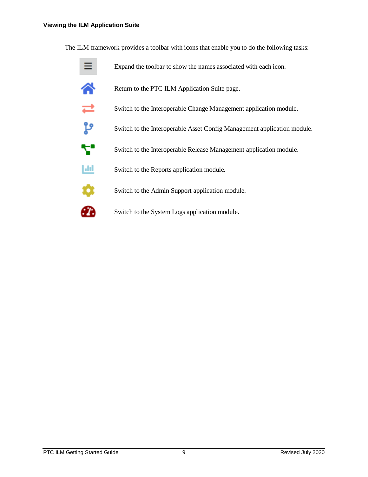The ILM framework provides a toolbar with icons that enable you to do the following tasks:

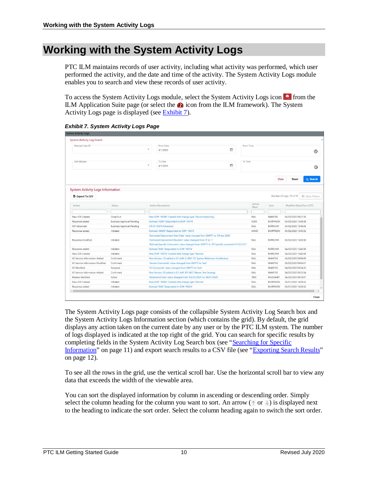### <span id="page-12-0"></span>**Working with the System Activity Logs**

PTC ILM maintains records of user activity, including what activity was performed, which user performed the activity, and the date and time of the activity. The System Activity Logs module enables you to search and view these records of user activity.

To access the System Activity Logs module, select the System Activity Logs icon  $\bullet$  from the ILM Application Suite page (or select the  $\bullet$  icon from the ILM framework). The System Activity Logs page is displayed (se[e Exhibit 7\)](#page-12-1).

<span id="page-12-1"></span>*Exhibit 7. System Activity Logs Page*

| <b>System Activity Logs</b>                              |                                  |                                                                                                     |        |                |                 |                                              |            |
|----------------------------------------------------------|----------------------------------|-----------------------------------------------------------------------------------------------------|--------|----------------|-----------------|----------------------------------------------|------------|
| <b>System Activity Log Search</b>                        |                                  |                                                                                                     |        |                |                 |                                              |            |
| Railroad User ID                                         |                                  | From Date                                                                                           |        | From Time      |                 |                                              |            |
|                                                          |                                  | $\overline{\phantom{a}}$<br>4/1/2020                                                                | $\Box$ |                |                 |                                              | $^{\circ}$ |
|                                                          |                                  |                                                                                                     |        |                |                 |                                              |            |
| ILM Module                                               |                                  | To Date                                                                                             |        | To Time        |                 |                                              |            |
|                                                          |                                  | 4/7/2020                                                                                            | $\Box$ |                |                 |                                              | $\odot$    |
|                                                          |                                  |                                                                                                     |        |                | Clear           | Reset                                        | Q Search   |
| <b>System Activity Logs Information</b><br>Export To CSV |                                  |                                                                                                     |        |                |                 | Number of Logs: 16 of 16<br>El Clear Filters |            |
| Action                                                   | Status                           | Action Description                                                                                  |        | Action<br>Mark | User            | Modified Date/Time (CST)                     |            |
|                                                          |                                  |                                                                                                     |        |                |                 |                                              |            |
| New ICR Created                                          | Close Out                        | New ICR# '10394' Created with change type 'Decommissioning'                                         |        | RAIL           | NAMITAS         | 04/03/2020 08:27:26                          |            |
| Response added                                           | <b>Business Approval-Pending</b> | Railroad 'AZER' Responded to ICR# '10374'                                                           |        | AZER           | BKAPPADM        | 04/02/2020 15:48:38                          |            |
| ICR Advanced                                             | <b>Business Approval-Pending</b> | ICR ID 10374 Advanced                                                                               |        | RAIL           | <b>BKRRCHM</b>  | 04/02/2020 15:46:56                          |            |
| Response added                                           | Initiated                        | Railroad 'AKMD' Responded to ICR# '10374'                                                           |        | <b>AKMD</b>    | <b>BKAPPADM</b> | 04/02/2020 15:45:52                          |            |
|                                                          |                                  | 'Estimated Deployment Start Date' value changed from EMPTY to '09 Apr 2020'                         |        |                |                 |                                              |            |
| Response modified                                        | Initiated                        | 'Estimated Deployment Duration' value changed from '0' to '1'                                       |        | RAIL.          | <b>BKRRCHM</b>  | 04/02/2020 15:43:58                          |            |
|                                                          |                                  | 'Railroad Specific Comments' value changed from EMPTY to 'RR Specific comment!!!!!!!!!!!!!!!!!!!!!! |        |                |                 |                                              |            |
| Response added                                           | Initiated                        | Railroad 'RAIL' Responded to ICR# '10374'                                                           |        | RAIL           | <b>BKRRCHM</b>  | 04/02/2020 15:43:06                          |            |
| New ICR Created                                          | Initiated                        | New ICR# '10374' Created with change type 'Normal'                                                  |        | RAIL           | <b>BKRRCHM</b>  | 04/02/2020 15:43:06                          |            |
| ICI Version Information Added                            | Confirmed                        | New Version 1.5 added to ICI AAR: S-9001 ITC System Reference Architecture                          |        | RAIL           | NAMITAS         | 04/02/2020 09:56:59                          |            |
| ICI Version Information Modified                         | Confirmed                        | 'Version Comments' value changed from EMPTY to 'test'                                               |        | RAIL           | NAMITAS         | 04/02/2020 09:54:57                          |            |
| ICI Modified                                             | Adopted                          | 'ICI Comments' value changed from EMPTY to 'test'                                                   |        | RAIL           | NAMITAS         | 04/02/2020 09:54:33                          |            |
| ICI Version Information Added                            | Confirmed                        | New Version 2.0 added to ICI AAR: RP-9457 Master Test Strategy                                      |        | RAIL           | NAMITAS         | 04/02/2020 09:53:04                          |            |
| Release Modified                                         | Active                           | 'Retirement Date' value changed from '03/31/2020' to '04/01/2020'                                   |        | TESX           | PAULMART        | 04/02/2020 08:16:57                          |            |
|                                                          | Initiated                        | New ICR# '10354' Created with change type 'Normal'                                                  |        | RAIL           | <b>BKAPPADM</b> | 04/01/2020 16:58:32                          |            |
|                                                          |                                  |                                                                                                     |        |                |                 |                                              |            |
| New ICR Created<br>Response added                        | Initiated                        | Railroad 'RAIL' Responded to ICR# '10354'                                                           |        | RAIL           | <b>BKAPPADM</b> | 04/01/2020 16:58:32                          |            |

The System Activity Logs page consists of the collapsible System Activity Log Search box and the System Activity Logs Information section (which contains the grid). By default, the grid displays any action taken on the current date by any user or by the PTC ILM system. The number of logs displayed is indicated at the top right of the grid. You can search for specific results by completing fields in the System Activity Log Search box (see ["Searching for Specific](#page-13-0)  [Information"](#page-13-0) on page [11\)](#page-13-0) and export search results to a CSV file (see ["Exporting Search Results"](#page-14-0) on page [12\)](#page-14-0).

To see all the rows in the grid, use the vertical scroll bar. Use the horizontal scroll bar to view any data that exceeds the width of the viewable area.

You can sort the displayed information by column in ascending or descending order. Simply select the column heading for the column you want to sort. An arrow ( $\uparrow$  or  $\downarrow$ ) is displayed next to the heading to indicate the sort order. Select the column heading again to switch the sort order.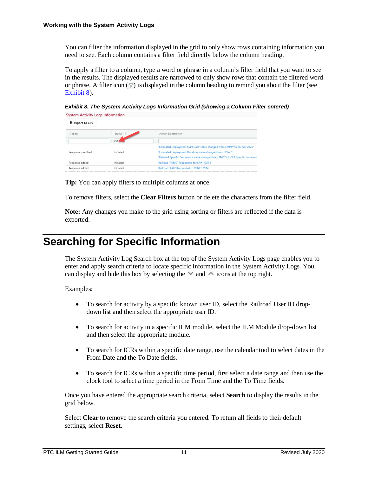You can filter the information displayed in the grid to only show rows containing information you need to see. Each column contains a filter field directly below the column heading.

To apply a filter to a column, type a word or phrase in a column's filter field that you want to see in the results. The displayed results are narrowed to only show rows that contain the filtered word or phrase. A filter icon  $(\nabla)$  is displayed in the column heading to remind you about the filter (see [Exhibit 8\)](#page-13-1).

<span id="page-13-1"></span>*Exhibit 8. The System Activity Logs Information Grid (showing a Column Filter entered)*

| <b>System Activity Logs Information</b> |                     |                                                                               |
|-----------------------------------------|---------------------|-------------------------------------------------------------------------------|
| Export To CSV                           |                     |                                                                               |
| $Action +$                              | Status <sub>V</sub> | <b>Action Description</b>                                                     |
|                                         | init                |                                                                               |
|                                         |                     | 'Estimated Deployment Start Date' value changed from EMPTY to '09 Apr 2020'   |
| Response modified                       | Initiated           | 'Estimated Deployment Duration' value changed from '0' to '1'                 |
|                                         |                     | 'Railroad Specific Comments' value changed from EMPTY to 'RR Specific comment |
| Response added                          | Initiated           | Railroad 'AKMD' Responded to ICR# '10374'                                     |
| Response added                          | Initiated           | Railroad 'RAIL' Responded to ICR# '10374'                                     |

**Tip:** You can apply filters to multiple columns at once.

To remove filters, select the **Clear Filters** button or delete the characters from the filter field.

**Note:** Any changes you make to the grid using sorting or filters are reflected if the data is exported.

### <span id="page-13-0"></span>**Searching for Specific Information**

The System Activity Log Search box at the top of the System Activity Logs page enables you to enter and apply search criteria to locate specific information in the System Activity Logs. You can display and hide this box by selecting the  $\vee$  and  $\wedge$  icons at the top right.

Examples:

- To search for activity by a specific known user ID, select the Railroad User ID dropdown list and then select the appropriate user ID.
- To search for activity in a specific ILM module, select the ILM Module drop-down list and then select the appropriate module.
- To search for ICRs within a specific date range, use the calendar tool to select dates in the From Date and the To Date fields.
- To search for ICRs within a specific time period, first select a date range and then use the clock tool to select a time period in the From Time and the To Time fields.

Once you have entered the appropriate search criteria, select **Search** to display the results in the grid below.

Select **Clear** to remove the search criteria you entered. To return all fields to their default settings, select **Reset**.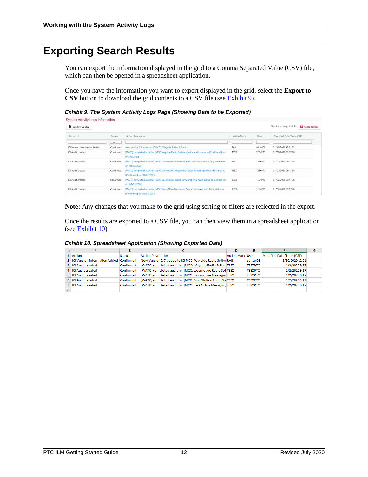### <span id="page-14-0"></span>**Exporting Search Results**

You can export the information displayed in the grid to a Comma Separated Value (CSV) file, which can then be opened in a spreadsheet application.

Once you have the information you want to export displayed in the grid, select the **Export to CSV** button to download the grid contents to a CSV file (see [Exhibit 9\)](#page-14-1).

<span id="page-14-1"></span>*Exhibit 9. The System Activity Logs Page (Showing Data to be Exported)*

| <b>System Activity Logs Information</b> |               |                                                                                                                             |             |                |                                                    |
|-----------------------------------------|---------------|-----------------------------------------------------------------------------------------------------------------------------|-------------|----------------|----------------------------------------------------|
| <b>b</b> Export To CSV                  |               |                                                                                                                             |             |                | Number of Logs: 6 of 51<br><b>E3</b> Clear Filters |
| Action -                                | <b>Status</b> | <b>Action Description</b>                                                                                                   | Action Mark | User           | Modified Date/Time (CST)                           |
|                                         | conf          |                                                                                                                             |             |                |                                                    |
| ICI Version information Added           | Confirmed     | New Version 2.7 added to ICI MCC; Wayside Radio Software                                                                    | RAIL        | sdhxw09        | 01/10/2020 12:21:35                                |
| ICI Audit created                       | Confirmed     | [WATC] completed audit for [MCC: Wayside Radio Software] with Audit status as [Confirmed] on<br>[01/02/2020]                | <b>TESX</b> | <b>TESXPTC</b> | 01/02/2020 09:17:28                                |
| ICI Audit created                       | Confirmed     | [WATC] completed audit for [MCC: Locomotive Radio Software] with Audit status as [Confirmed]<br>on [01/02/2020]             | <b>TESX</b> | <b>TESXPTC</b> | 01/02/2020 09:17:28                                |
| ICI Audit created                       | Confirmed     | [WATC] completed audit for [MCC: Locomotive Messaging Server Software] with Audit status as<br>[Confirmed] on [01/02/2020]  | <b>TESX</b> | TESXPTC        | 01/02/2020 09:17:28                                |
| ICI Audit created                       | Confirmed     | [WATC] completed audit for [MCC: Base Station Radio Software] with Audit status as [Confirmed]<br>on [01/02/2020]           | <b>TESX</b> | <b>TESXPTC</b> | 01/02/2020 09:17:28                                |
| ICI Audit created                       | Confirmed     | [WATC] completed audit for [MCC: Back Office Messaging Server Software] with Audit status as<br>[Confirmed] on [01/02/2020] | TESX        | TESXPTC        | 01/02/2020 09:17:28                                |

**Note:** Any changes that you make to the grid using sorting or filters are reflected in the export.

Once the results are exported to a CSV file, you can then view them in a spreadsheet application (see [Exhibit 10\)](#page-14-2).

*Exhibit 10. Spreadsheet Application (Showing Exported Data)*

<span id="page-14-2"></span>

| А                                      | B.        |                                                             |                         |                |                          | G |
|----------------------------------------|-----------|-------------------------------------------------------------|-------------------------|----------------|--------------------------|---|
| Action                                 | Status    | <b>Action Description</b>                                   | <b>Action Mark User</b> |                | Modified Date/Time (CST) |   |
| 2 <b>ICI Version information Added</b> | Confirmed | New Version 2.7 added to ICI MCC: Wayside Radio Softw RAIL  |                         | sdhxw09        | 1/10/2020 12:21          |   |
| 3 ICI Audit created                    | Confirmed | [WATC] completed audit for [MCC: Wayside Radio SoftwaTESX   |                         | <b>TESXPTC</b> | 1/2/2020 9:17            |   |
| 4 ICI Audit created                    | Confirmed | [WATC] completed audit for [MCC: Locomotive Radio Sof TESX  |                         | <b>TESXPTC</b> | 1/2/2020 9:17            |   |
| 5 ICI Audit created                    | Confirmed | [WATC] completed audit for [MCC: Locomotive Messagin TESX   |                         | <b>TESXPTC</b> | 1/2/2020 9:17            |   |
| 6 ICI Audit created                    | Confirmed | [WATC] completed audit for [MCC: Base Station Radio SolTESX |                         | <b>TESXPTC</b> | 1/2/2020 9:17            |   |
| 7 ICI Audit created                    | Confirmed | [WATC] completed audit for [MCC: Back Office Messaging TESX |                         | <b>TESXPTC</b> | 1/2/2020 9:17            |   |
|                                        |           |                                                             |                         |                |                          |   |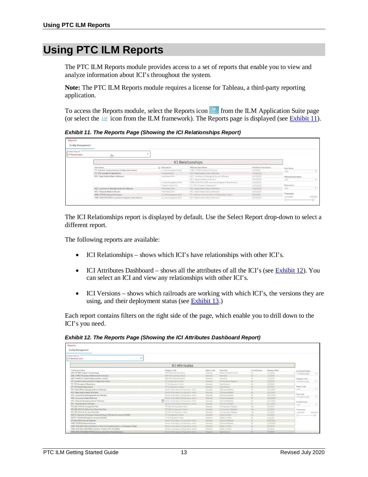### <span id="page-15-0"></span>**Using PTC ILM Reports**

The PTC ILM Reports module provides access to a set of reports that enable you to view and analyze information about ICI's throughout the system.

**Note:** The PTC ILM Reports module requires a license for Tableau, a third-party reporting application.

To access the Reports module, select the Reports icon  $\Box$  from the ILM Application Suite page (or select the  $\blacksquare$  icon from the ILM framework). The Reports page is displayed (see [Exhibit 11\)](#page-15-1).

<span id="page-15-1"></span>*Exhibit 11. The Reports Page (Showing the ICI Relationships Report)*

| <b>Reports</b><br>Config Management              |                                                    |                         |                                                   |                     |                    |          |
|--------------------------------------------------|----------------------------------------------------|-------------------------|---------------------------------------------------|---------------------|--------------------|----------|
| <b>Select Report</b><br><b>ICI Relationships</b> |                                                    |                         |                                                   |                     |                    |          |
|                                                  |                                                    |                         | <b>ICI Relationships</b>                          |                     |                    |          |
|                                                  | Item Name                                          | E. Description          | Affected Item Name                                | Modified Time Stamp | Item Name          |          |
|                                                  | ITC: Common Communication Configuration Items      | Is interchangeable With | WRE: I-ETMS Onboard Software                      | S/6/2020            | (A1)               |          |
|                                                  | ITC: PTC Concept of Operations                     | Is Specified By         | MCC Base Station Radio Software                   | 4/23/2020           |                    |          |
|                                                  | MCC: Base Station Radio Software                   | Interfaces With         | MCC Locomotive Messaging Server Software          | 4/23/2020           | Affected Item Name |          |
|                                                  |                                                    |                         | MCC: Wayside Radio Software                       | 4/23/2020           | (431)              | $\sim$   |
|                                                  |                                                    | Is interchangeable With | WRE WCR-SYR-1093 Locomotive Seament Specification | 4/23/2020           |                    |          |
|                                                  |                                                    | Is Specification For    | ITC PTC Concept of Operations                     | 4/23/2020           | Description        |          |
|                                                  | MCC: Locomotive Messaging Server Software          | Interfaces With         | MCC Base Station Radio Software                   | 4/23/2020           | (AS)               |          |
|                                                  | MCC: Wayside Radio Software                        | Interfaces With         | MCC Base Station Radio Software                   | 4/23/2020           |                    |          |
|                                                  | <b>WRE: I-ETMS Onboard Software</b>                | la interchangeable With | ITC: Common Communication Configuration Items     | 5/6/2020            | Timestamp          |          |
|                                                  | WRE: WCR-SYR-1093 Locomotive Segment Specification | is interchangeable With | MCC Base Station Radio Software                   | 4/23/2020           | 1/31/2020          | 5/6/2020 |
|                                                  |                                                    |                         |                                                   |                     | G-                 | $-0-$    |

The ICI Relationships report is displayed by default. Use the Select Report drop-down to select a different report.

The following reports are available:

- ICI Relationships shows which ICI's have relationships with other ICI's.
- ICI Attributes Dashboard shows all the attributes of all the ICI's (see [Exhibit 12\)](#page-15-2). You can select an ICI and view any relationships with other ICI's.
- ICI Versions shows which railroads are working with which ICI's, the versions they are using, and their deployment status (see **Exhibit 13.**)

Each report contains filters on the right side of the page, which enable you to drill down to the ICI's you need.

<span id="page-15-2"></span>

| Reports                                                                        |                                         |                    |                        |               |               |                             |  |  |  |  |  |
|--------------------------------------------------------------------------------|-----------------------------------------|--------------------|------------------------|---------------|---------------|-----------------------------|--|--|--|--|--|
| Config Management                                                              |                                         |                    |                        |               |               |                             |  |  |  |  |  |
| Select Report                                                                  |                                         |                    |                        |               |               |                             |  |  |  |  |  |
| ICI Attributes Dash                                                            |                                         |                    |                        |               |               |                             |  |  |  |  |  |
| <b>ICI Attributes</b>                                                          |                                         |                    |                        |               |               |                             |  |  |  |  |  |
| Config Item Name                                                               | Category Code                           | <b>Status Code</b> | <b>Type Code</b>       | Limited Scope | Adoption Date | Config Item Name            |  |  |  |  |  |
| AAR: RP-9457 Master Test Strategy                                              | AAR Published Standards                 | Adopted            | Recommended Practice   | No.           | 1/1/2020      | (Multiple values)           |  |  |  |  |  |
| AAR: 5-9001 ITC System Reference Architecture                                  | AAR Published Standards                 | Address            | Standard               | 140           | 1/1/2020      |                             |  |  |  |  |  |
| AAR: S-9053 ITC System Requirements - Level 0                                  | <b>AAR Published Standards</b>          | Adobted            | Standard               | No.           | 1/1/2020      | Category Code               |  |  |  |  |  |
| ITC: Common Communication Configuration Items                                  | ITC Corifiguration Itarris              | Adopted            | Configuration Release  | No.           | 4/1/2020      | (Wultiple values)           |  |  |  |  |  |
| ITC: PTC Concept of Operations                                                 | ITC Configuration items                 | Adopted            | Specification          | No            | 4/2/2020      |                             |  |  |  |  |  |
| ITC: PTC System Description                                                    | ITC Configuration items                 | Adopted            | Specification          | No            | 4/2/2020      | <b>Status Code</b>          |  |  |  |  |  |
| MCC: Back Office Messaging Server Software                                     | Vendor Proprietary Configuration Items  | Adopted            | Software Release       | 16a           | 4/21/2020     | (10)<br>٠                   |  |  |  |  |  |
| MCC: Base Station Radio Software                                               | Vendor Proprietary Configuration Items  | Adopted            | Software Release       | No.           | 4/21/2020     |                             |  |  |  |  |  |
| MCC: Locomotive Messaging Server Software                                      | Varidor Probrietary Configuration Items | Adopted            | Software Release       | No:           | 4/21/2020     | Type Code<br>$\mathbf{w}$ . |  |  |  |  |  |
| MCC: Locomotive Radio Software                                                 | Vendor Proprietary Configuration Items  | Adopted            | Software Release       | No.           | 4/21/2020     | (thutdois values)           |  |  |  |  |  |
| MCC: Wayside Messaging Server Software                                         | Vendor Proprietary Configuration Items  | Adopted            | Software Relasse       | No:           | 4/21/2020     | Limited Scope               |  |  |  |  |  |
| MCC: Wayside Radio Software                                                    | Vendor Proprietary Configuration Itams  | Angeled            | Software Release       | 14a           | 3/11/2020     | (40)<br>$\sim$              |  |  |  |  |  |
| PTC 220 MTA 03, Chicago Slot Plan                                              | PTC 220 Configuration items             | Adopted            | Configuration Release  | Yes           | 4/1/2020      |                             |  |  |  |  |  |
| PTC 220 MTA 07, Dallas-Fort Worth Slot Plan                                    | PTC 220 Commission Items                | Adopted:           | Configuration Release. | Nes.          | 4/1/2020      | Timestamp                   |  |  |  |  |  |
| PTC 220: MTA 19, St. Louis Slot Plan                                           | PTC 220 Comfiguration items             | Adopted            | Configuration Release  | Ves.          | 4/1/2020      | 1/31/2020<br>5/6/2020       |  |  |  |  |  |
| RR/ITC: Operations & Support Hazard Analysis (RR specific version) [OSHA]      | ITC Configuration items                 | Adopted            | Safety Artifact        | No            | 4/2/2020      | JY.<br>$\sigma$             |  |  |  |  |  |
| RR/ITC: OSCARs (RR specific version) [OSCAR]                                   | ITC Configuration items                 | Attorned           | Safety Artifact        | No            | 4/1/2020      |                             |  |  |  |  |  |
| SII: Back Office Server Software                                               | Vendor Proprietary Configuration Items  | Adopted            | Software Release       | No            | 4/30/2020     |                             |  |  |  |  |  |
| WRE 1-ETMS Onboard Software                                                    | Vendor Proprietary Configuration Items  | Adopted            | Seftware Release       | No            | 2/13/2020     |                             |  |  |  |  |  |
| WRE: WCR-SAF-1236 Justification of Non-Vital Implementation of Emergency Brake | Vendor Prisprietary Configuration Items | Appeted            | Señety Artifact        | No.           | 4/2/2020      |                             |  |  |  |  |  |
| WRE WCR-SAF-13S6 FMEA Summary & Detail TMC-04 [FMEA]                           | Vendor Proprietary Configuration Items  | Adopted            | Safety Artifact        | No.           | 4/1/2020      |                             |  |  |  |  |  |
| WRE WCR-SYR-1058 I-ETMS Component and Fault Data Dictionary                    | Vendor Proprietary Configuration items  | Adopted.           | <b>Spacification</b>   | <b>tún</b>    | 4/7/2020      |                             |  |  |  |  |  |

*Exhibit 12. The Reports Page (Showing the ICI Attributes Dashboard Report)*